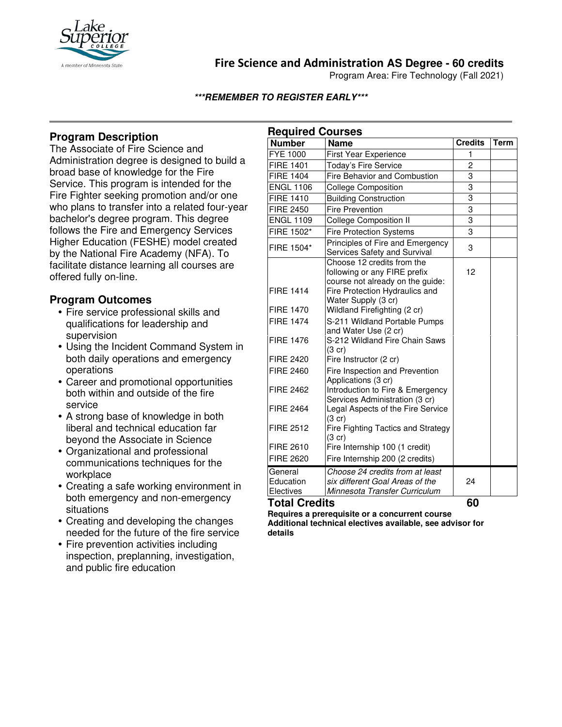

# **Fire Science and Administration AS Degree - 60 credits**

Program Area: Fire Technology (Fall 2021)

**\*\*\*REMEMBER TO REGISTER EARLY\*\*\***

## **Program Description**

The Associate of Fire Science and Administration degree is designed to build a broad base of knowledge for the Fire Service. This program is intended for the Fire Fighter seeking promotion and/or one who plans to transfer into a related four-year bachelor's degree program. This degree follows the Fire and Emergency Services Higher Education (FESHE) model created by the National Fire Academy (NFA). To facilitate distance learning all courses are offered fully on-line.

## **Program Outcomes**

- Fire service professional skills and qualifications for leadership and supervision
- Using the Incident Command System in both daily operations and emergency operations
- Career and promotional opportunities both within and outside of the fire service
- A strong base of knowledge in both liberal and technical education far beyond the Associate in Science
- Organizational and professional communications techniques for the workplace
- Creating a safe working environment in both emergency and non-emergency situations
- Creating and developing the changes needed for the future of the fire service
- Fire prevention activities including inspection, preplanning, investigation, and public fire education

| <b>Required Courses</b>           |                                                                                                                                  |                |             |
|-----------------------------------|----------------------------------------------------------------------------------------------------------------------------------|----------------|-------------|
| <b>Number</b>                     | <b>Name</b>                                                                                                                      | <b>Credits</b> | <b>Term</b> |
| <b>FYE 1000</b>                   | <b>First Year Experience</b>                                                                                                     | $\mathbf{1}$   |             |
| <b>FIRE 1401</b>                  | Today's Fire Service                                                                                                             | $\overline{c}$ |             |
| <b>FIRE 1404</b>                  | Fire Behavior and Combustion                                                                                                     | 3              |             |
| <b>ENGL 1106</b>                  | <b>College Composition</b>                                                                                                       | $\overline{3}$ |             |
| <b>FIRE 1410</b>                  | <b>Building Construction</b>                                                                                                     | $\overline{3}$ |             |
| <b>FIRE 2450</b>                  | <b>Fire Prevention</b>                                                                                                           | 3              |             |
| <b>ENGL 1109</b>                  | <b>College Composition II</b>                                                                                                    | 3              |             |
| FIRE 1502*                        | <b>Fire Protection Systems</b>                                                                                                   | $\overline{3}$ |             |
| FIRE 1504*                        | Principles of Fire and Emergency<br>Services Safety and Survival                                                                 | 3              |             |
| <b>FIRE 1414</b>                  | Choose 12 credits from the<br>following or any FIRE prefix<br>course not already on the guide:<br>Fire Protection Hydraulics and | 12             |             |
| <b>FIRE 1470</b>                  | Water Supply (3 cr)<br>Wildland Firefighting (2 cr)                                                                              |                |             |
| <b>FIRE 1474</b>                  | S-211 Wildland Portable Pumps                                                                                                    |                |             |
| <b>FIRE 1476</b>                  | and Water Use (2 cr)<br>S-212 Wildland Fire Chain Saws<br>$(3 \text{ cr})$                                                       |                |             |
| <b>FIRE 2420</b>                  | Fire Instructor (2 cr)                                                                                                           |                |             |
| <b>FIRE 2460</b>                  | Fire Inspection and Prevention<br>Applications (3 cr)                                                                            |                |             |
| <b>FIRE 2462</b>                  | Introduction to Fire & Emergency<br>Services Administration (3 cr)                                                               |                |             |
| <b>FIRE 2464</b>                  | Legal Aspects of the Fire Service<br>$(3$ cr)                                                                                    |                |             |
| <b>FIRE 2512</b>                  | Fire Fighting Tactics and Strategy<br>$(3$ cr)                                                                                   |                |             |
| FIRE 2610                         | Fire Internship 100 (1 credit)                                                                                                   |                |             |
| <b>FIRE 2620</b>                  | Fire Internship 200 (2 credits)                                                                                                  |                |             |
| General<br>Education<br>Electives | Choose 24 credits from at least<br>six different Goal Areas of the<br>Minnesota Transfer Curriculum                              | 24             |             |

**Total Credits 60** 

**Requires a prerequisite or a concurrent course Additional technical electives available, see advisor for details**